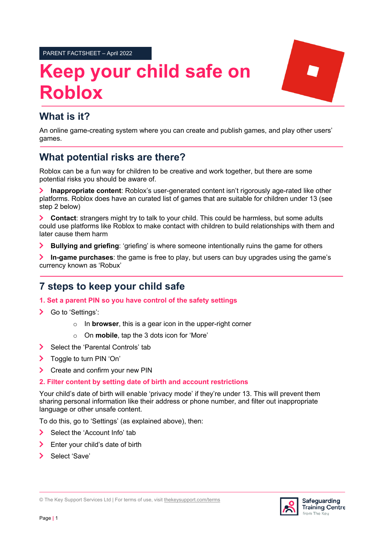PARENT FACTSHEET – April 2022

# **Keep your child safe on Roblox**



# **What is it?**

An online game-creating system where you can create and publish games, and play other users' games.

# **What potential risks are there?**

Roblox can be a fun way for children to be creative and work together, but there are some potential risks you should be aware of.

 $\sum$ **Inappropriate content**: Roblox's user-generated content isn't rigorously age-rated like other platforms. Roblox does have an curated list of games that are suitable for children under 13 (see step 2 below)

**Contact**: strangers might try to talk to your child. This could be harmless, but some adults could use platforms like Roblox to make contact with children to build relationships with them and later cause them harm

**Bullying and griefing**: 'griefing' is where someone intentionally ruins the game for others  $\blacktriangleright$ 

 $\blacktriangleright$ **In-game purchases**: the game is free to play, but users can buy upgrades using the game's currency known as 'Robux'

# **7 steps to keep your child safe**

**1. Set a parent PIN so you have control of the safety settings**

- > Go to 'Settings':
	- o In **browser**, this is a gear icon in the upper-right corner
	- o On **mobile**, tap the 3 dots icon for 'More'
- $\blacktriangleright$ Select the 'Parental Controls' tab
- $\sum$ Toggle to turn PIN 'On'
- $\sum$ Create and confirm your new PIN

## **2. Filter content by setting date of birth and account restrictions**

Your child's date of birth will enable 'privacy mode' if they're under 13. This will prevent them sharing personal information like their address or phone number, and filter out inappropriate language or other unsafe content.

To do this, go to 'Settings' (as explained above), then:

- $\blacktriangleright$ Select the 'Account Info' tab
- $\blacktriangleright$ Enter your child's date of birth
- $\overline{\phantom{0}}$ Select 'Save'